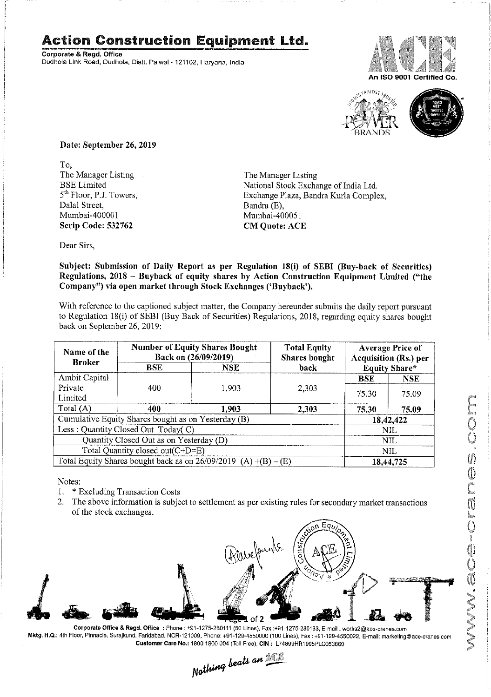## Action Construction Equipment Ltd.

Corporate & Regd. Office Dudhola Link Road, Dudhola, Distt. Palwal - 121102, Haryana, India





Date: September 26, 2019

To,<br>The Manager Listing The Manager Listing The Manager Listing<br>BSE Limited The Manager Listing<br>National Stock Excha Dalal Street, Bandra (E), Bandra (E), Bandra (E), Bandra (E), Bandra (E), Bandra (E), Bandra (E), Bandra (E), Bandra (E), Bandra (E), Bandra (E), Bandra (E), Bandra (E), Bandra (E), Bandra (E), Bandra (E), Bandra (E), Band Scrip Code: 532762 CM Quote: ACE

BSE Limited National Stock Exchange of India Ltd,<br>
5<sup>th</sup> Floor, P.J. Towers, Exchange Plaza, Bandra Kurla Comple 5<sup>th</sup> Floor, P.J. Towers, Exchange Plaza, Bandra Kurla Complex, Dalal Street. Bandra (E). Mumbai-400051

Dear Sirs,

Subject: Submission of Daily Report as per Regulation 18(i) of SEBI (Buy-back of Securities) Regulations, 2018 — Buyback of equity shares by Action Construction Equipment Limited ("the Company") via open market through Stock Exchanges ('Buyback').

With reference to the captioned subject matter, the Company hereunder submits the daily report pursuant to Regulation 18(i) of SEBI (Buy Back of Securities) Regulations, 2018, regarding equity shares bought back on September 26, 2019:

| Name of the<br><b>Broker</b>     | <b>Number of Equity Shares Bought</b><br>Back on (26/09/2019)     |            | <b>Total Equity</b><br><b>Shares bought</b> | <b>Average Price of</b><br><b>Acquisition (Rs.) per</b> |                      |  |
|----------------------------------|-------------------------------------------------------------------|------------|---------------------------------------------|---------------------------------------------------------|----------------------|--|
|                                  | BSE.                                                              | <b>NSE</b> | back                                        |                                                         | <b>Equity Share*</b> |  |
| Ambit Capital                    |                                                                   |            |                                             | <b>BSE</b>                                              | <b>NSE</b>           |  |
| Private<br>Limited               | 400                                                               | 1,903      | 2,303                                       | 75.30                                                   | 75.09                |  |
| Total (A)                        | 400                                                               | 1.903      | 2,303                                       | 75.30                                                   | 75.09                |  |
|                                  | Cumulative Equity Shares bought as on Yesterday (B)               |            |                                             | 18,42,422                                               |                      |  |
|                                  | Less: Quantity Closed Out Today(C)                                |            |                                             |                                                         | NIL                  |  |
|                                  | Quantity Closed Out as on Yesterday (D)                           |            |                                             |                                                         | NIL                  |  |
| Total Quantity closed out(C+D=E) |                                                                   |            | NIL                                         |                                                         |                      |  |
|                                  | Total Equity Shares bought back as on $26/09/2019$ (A) +(B) – (E) |            |                                             |                                                         | 18,44,725            |  |

 $\blacksquare$  Notes:

- 1. \* Excluding Transaction Costs S
- 2. The above information is subject to settlement as per existing rules for secondary market transactions of the stock exchanges.



<sup>C</sup>orporate Office & Regd. Office : Phone : +91-1275-280111 (50 Lines), Fax :+91-1275-280133, E-mail : works2@ace-cranes.com<br>بوجه المسابق المسلم Cur, Pinnacle, Surajkund, Faridabad, NCR-121009, Phone: +91-129-4550000 (10 Mktg. H.Q.: 4th Floor, Pinnacle, Surajkund, Faridabad, NCR-121009, Phone: +91-129-4550000 (100 Lines), Fax : +91-129-4550022, E-mail: marketing@ace-cranes.com Customer care No.: 1800 1800 004 (Toll Free), CIN : L74899HR1995PL0053860

Nothing beats an **NOTE**